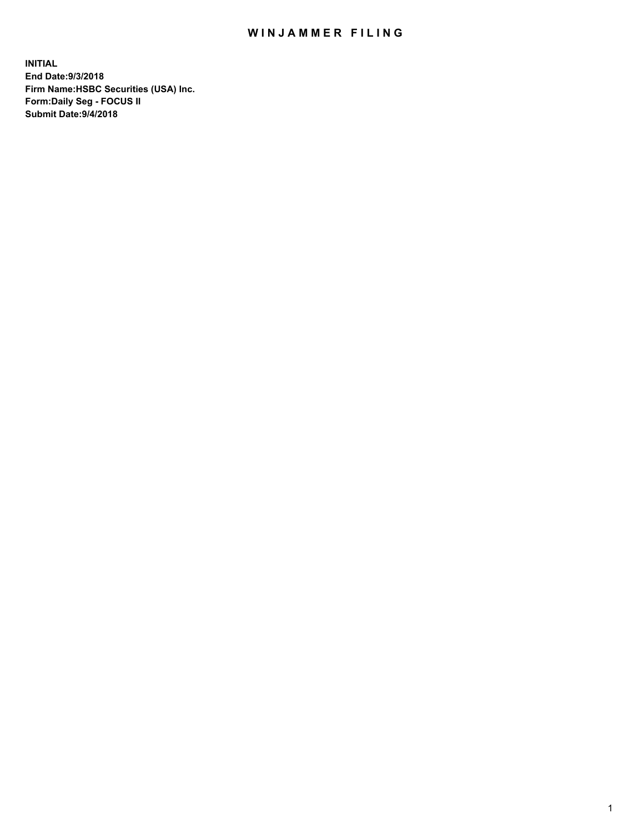## WIN JAMMER FILING

**INITIAL End Date:9/3/2018 Firm Name:HSBC Securities (USA) Inc. Form:Daily Seg - FOCUS II Submit Date:9/4/2018**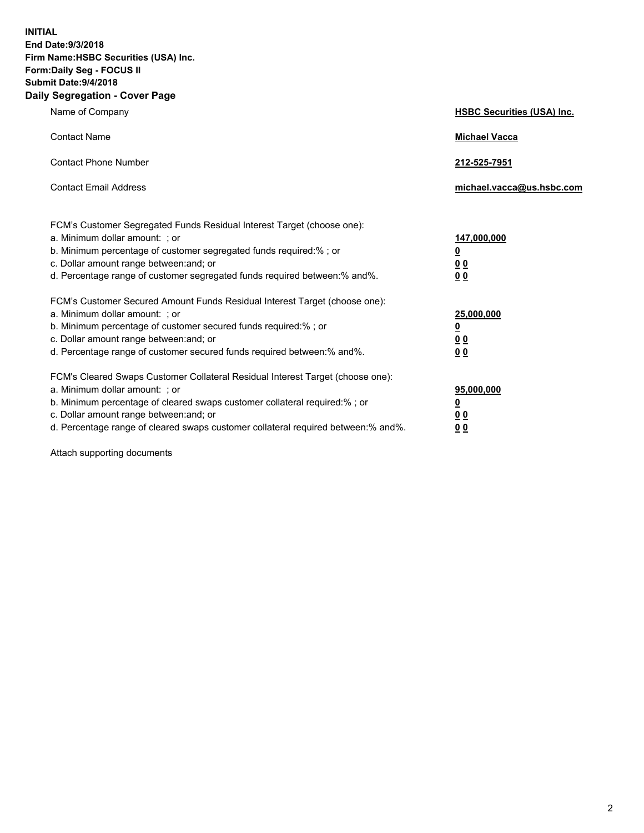**INITIAL End Date:9/3/2018 Firm Name:HSBC Securities (USA) Inc. Form:Daily Seg - FOCUS II Submit Date:9/4/2018 Daily Segregation - Cover Page**

| Name of Company                                                                                                                                                                                                                                                                                                                | <b>HSBC Securities (USA) Inc.</b>                                          |
|--------------------------------------------------------------------------------------------------------------------------------------------------------------------------------------------------------------------------------------------------------------------------------------------------------------------------------|----------------------------------------------------------------------------|
| <b>Contact Name</b>                                                                                                                                                                                                                                                                                                            | <b>Michael Vacca</b>                                                       |
| <b>Contact Phone Number</b>                                                                                                                                                                                                                                                                                                    | 212-525-7951                                                               |
| <b>Contact Email Address</b>                                                                                                                                                                                                                                                                                                   | michael.vacca@us.hsbc.com                                                  |
| FCM's Customer Segregated Funds Residual Interest Target (choose one):<br>a. Minimum dollar amount: ; or<br>b. Minimum percentage of customer segregated funds required:% ; or<br>c. Dollar amount range between: and; or<br>d. Percentage range of customer segregated funds required between:% and%.                         | 147,000,000<br>$\overline{\mathbf{0}}$<br>0 <sub>0</sub><br>0 <sub>0</sub> |
| FCM's Customer Secured Amount Funds Residual Interest Target (choose one):<br>a. Minimum dollar amount: ; or<br>b. Minimum percentage of customer secured funds required:%; or<br>c. Dollar amount range between: and; or<br>d. Percentage range of customer secured funds required between:% and%.                            | 25,000,000<br><u>0</u><br>0 <sub>0</sub><br>0 <sub>0</sub>                 |
| FCM's Cleared Swaps Customer Collateral Residual Interest Target (choose one):<br>a. Minimum dollar amount: ; or<br>b. Minimum percentage of cleared swaps customer collateral required:% ; or<br>c. Dollar amount range between: and; or<br>d. Percentage range of cleared swaps customer collateral required between:% and%. | 95,000,000<br><u>0</u><br><u>00</u><br>00                                  |

Attach supporting documents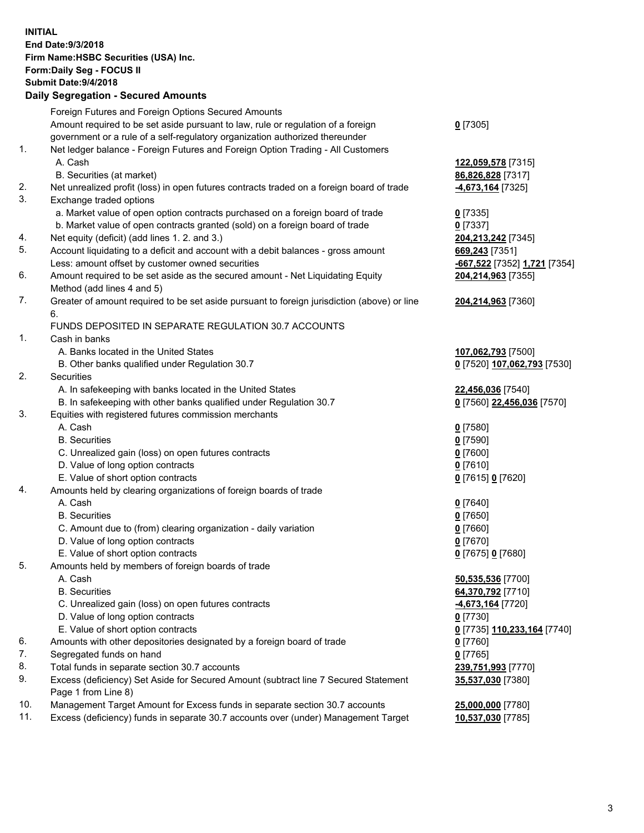**INITIAL End Date:9/3/2018 Firm Name:HSBC Securities (USA) Inc. Form:Daily Seg - FOCUS II Submit Date:9/4/2018 Daily Segregation - Secured Amounts** Foreign Futures and Foreign Options Secured Amounts Amount required to be set aside pursuant to law, rule or regulation of a foreign government or a rule of a self-regulatory organization authorized thereunder **0** [7305] 1. Net ledger balance - Foreign Futures and Foreign Option Trading - All Customers A. Cash **122,059,578** [7315] B. Securities (at market) **86,826,828** [7317] 2. Net unrealized profit (loss) in open futures contracts traded on a foreign board of trade **-4,673,164** [7325] 3. Exchange traded options a. Market value of open option contracts purchased on a foreign board of trade **0** [7335] b. Market value of open contracts granted (sold) on a foreign board of trade **0** [7337] 4. Net equity (deficit) (add lines 1. 2. and 3.) **204,213,242** [7345] 5. Account liquidating to a deficit and account with a debit balances - gross amount **669,243** [7351] Less: amount offset by customer owned securities **-667,522** [7352] **1,721** [7354] 6. Amount required to be set aside as the secured amount - Net Liquidating Equity Method (add lines 4 and 5) **204,214,963** [7355] 7. Greater of amount required to be set aside pursuant to foreign jurisdiction (above) or line 6. **204,214,963** [7360] FUNDS DEPOSITED IN SEPARATE REGULATION 30.7 ACCOUNTS 1. Cash in banks A. Banks located in the United States **107,062,793** [7500] B. Other banks qualified under Regulation 30.7 **0** [7520] **107,062,793** [7530] 2. Securities A. In safekeeping with banks located in the United States **22,456,036** [7540] B. In safekeeping with other banks qualified under Regulation 30.7 **0** [7560] **22,456,036** [7570] 3. Equities with registered futures commission merchants A. Cash **0** [7580] B. Securities **0** [7590] C. Unrealized gain (loss) on open futures contracts **0** [7600] D. Value of long option contracts **0** [7610] E. Value of short option contracts **0** [7615] **0** [7620] 4. Amounts held by clearing organizations of foreign boards of trade A. Cash **0** [7640] B. Securities **0** [7650] C. Amount due to (from) clearing organization - daily variation **0** [7660] D. Value of long option contracts **0** [7670] E. Value of short option contracts **0** [7675] **0** [7680] 5. Amounts held by members of foreign boards of trade A. Cash **50,535,536** [7700] B. Securities **64,370,792** [7710] C. Unrealized gain (loss) on open futures contracts **-4,673,164** [7720] D. Value of long option contracts **0** [7730] E. Value of short option contracts **0** [7735] **110,233,164** [7740] 6. Amounts with other depositories designated by a foreign board of trade **0** [7760] 7. Segregated funds on hand **0** [7765] 8. Total funds in separate section 30.7 accounts **239,751,993** [7770] 9. Excess (deficiency) Set Aside for Secured Amount (subtract line 7 Secured Statement Page 1 from Line 8) **35,537,030** [7380] 10. Management Target Amount for Excess funds in separate section 30.7 accounts **25,000,000** [7780] 11. Excess (deficiency) funds in separate 30.7 accounts over (under) Management Target **10,537,030** [7785]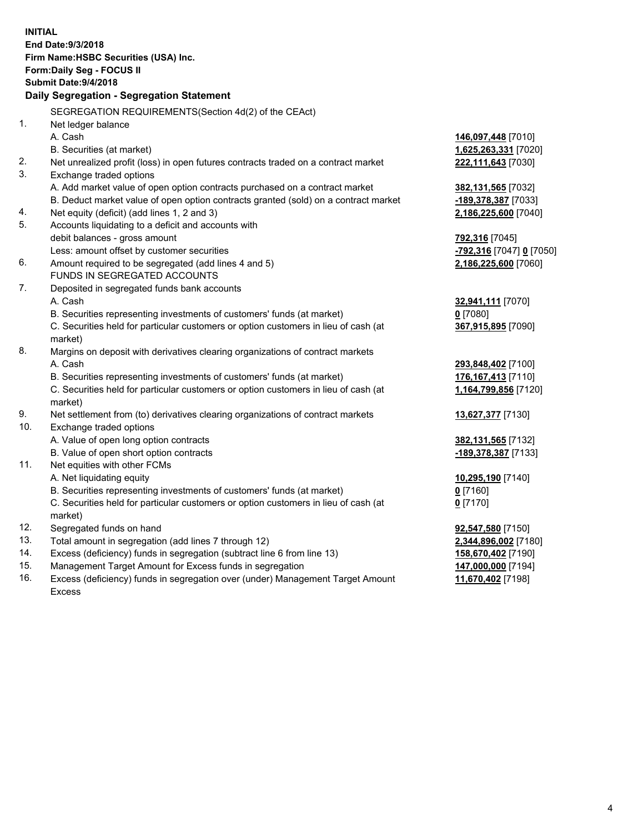|     | <b>INITIAL</b><br>End Date: 9/3/2018<br>Firm Name: HSBC Securities (USA) Inc.<br><b>Form:Daily Seg - FOCUS II</b><br><b>Submit Date: 9/4/2018</b><br>Daily Segregation - Segregation Statement |                                              |
|-----|------------------------------------------------------------------------------------------------------------------------------------------------------------------------------------------------|----------------------------------------------|
|     |                                                                                                                                                                                                |                                              |
| 1.  | SEGREGATION REQUIREMENTS(Section 4d(2) of the CEAct)                                                                                                                                           |                                              |
|     | Net ledger balance<br>A. Cash                                                                                                                                                                  |                                              |
|     |                                                                                                                                                                                                | 146,097,448 [7010]                           |
| 2.  | B. Securities (at market)                                                                                                                                                                      | 1,625,263,331 [7020]                         |
| 3.  | Net unrealized profit (loss) in open futures contracts traded on a contract market                                                                                                             | 222,111,643 [7030]                           |
|     | Exchange traded options                                                                                                                                                                        |                                              |
|     | A. Add market value of open option contracts purchased on a contract market<br>B. Deduct market value of open option contracts granted (sold) on a contract market                             | <b>382,131,565</b> [7032]                    |
| 4.  | Net equity (deficit) (add lines 1, 2 and 3)                                                                                                                                                    | <u>-189,378,387</u> [7033]                   |
| 5.  | Accounts liquidating to a deficit and accounts with                                                                                                                                            | 2,186,225,600 [7040]                         |
|     | debit balances - gross amount                                                                                                                                                                  | 792,316 [7045]                               |
|     | Less: amount offset by customer securities                                                                                                                                                     | <mark>-792,316</mark> [7047] <u>0</u> [7050] |
| 6.  | Amount required to be segregated (add lines 4 and 5)                                                                                                                                           | 2,186,225,600 [7060]                         |
|     | FUNDS IN SEGREGATED ACCOUNTS                                                                                                                                                                   |                                              |
| 7.  | Deposited in segregated funds bank accounts                                                                                                                                                    |                                              |
|     | A. Cash                                                                                                                                                                                        | <b>32,941,111</b> [7070]                     |
|     | B. Securities representing investments of customers' funds (at market)                                                                                                                         | $0$ [7080]                                   |
|     | C. Securities held for particular customers or option customers in lieu of cash (at                                                                                                            | 367,915,895 [7090]                           |
|     | market)                                                                                                                                                                                        |                                              |
| 8.  | Margins on deposit with derivatives clearing organizations of contract markets                                                                                                                 |                                              |
|     | A. Cash                                                                                                                                                                                        | 293,848,402 [7100]                           |
|     | B. Securities representing investments of customers' funds (at market)                                                                                                                         | <u>176,167,413</u> [7110]                    |
|     | C. Securities held for particular customers or option customers in lieu of cash (at                                                                                                            | <u>1,164,799,856</u> [7120]                  |
|     | market)                                                                                                                                                                                        |                                              |
| 9.  | Net settlement from (to) derivatives clearing organizations of contract markets                                                                                                                | 13,627,377 [7130]                            |
| 10. | Exchange traded options                                                                                                                                                                        |                                              |
|     | A. Value of open long option contracts                                                                                                                                                         | 382,131,565 [7132]                           |
|     | B. Value of open short option contracts                                                                                                                                                        | -189,378,387 [7133]                          |
| 11. | Net equities with other FCMs                                                                                                                                                                   |                                              |
|     | A. Net liquidating equity                                                                                                                                                                      | 10,295,190 [7140]                            |
|     | B. Securities representing investments of customers' funds (at market)                                                                                                                         | $0$ [7160]                                   |
|     | C. Securities held for particular customers or option customers in lieu of cash (at                                                                                                            | $0$ [7170]                                   |
|     | market)                                                                                                                                                                                        |                                              |
| 12. | Segregated funds on hand                                                                                                                                                                       | 92,547,580 [7150]                            |
| 13. | Total amount in segregation (add lines 7 through 12)                                                                                                                                           | 2,344,896,002 [7180]                         |
| 14. | Excess (deficiency) funds in segregation (subtract line 6 from line 13)                                                                                                                        | 158,670,402 [7190]                           |
| 15. | Management Target Amount for Excess funds in segregation                                                                                                                                       | 147,000,000 [7194]                           |

16. Excess (deficiency) funds in segregation over (under) Management Target Amount Excess

**11,670,402** [7198]